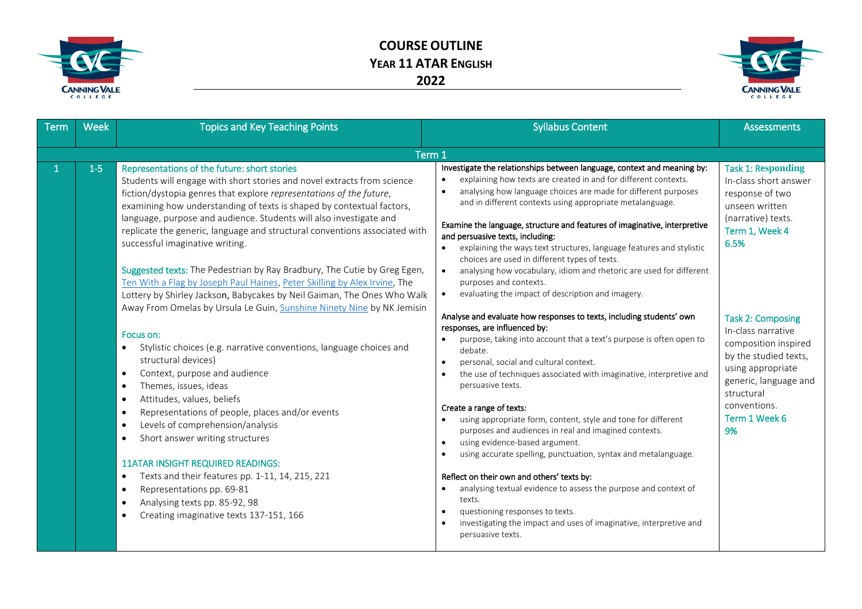



| Term | <b>Week</b> | <b>Topics and Key Teaching Points</b>                                                                                                                                                                                                                                                                                                                                                                                                                                                                                                                                                                                                                                                                                                                                                                                                                                                                                                                                                                                                                                                                                                                                                                                                                                                                                                                                                                                                                            | <b>Syllabus Content</b>                                                                                                                                                                                                                                                                                                                                                                                                                                                                                                                                                                                                                                                                                                                                                                                                                                                                                                                                                                                                                                                                                                                                                                                                                                                                                                                                                                                                                                                                                                                                                                                                                                                                   | <b>Assessments</b>                                                                                                                                                                                                                                                                                                                            |
|------|-------------|------------------------------------------------------------------------------------------------------------------------------------------------------------------------------------------------------------------------------------------------------------------------------------------------------------------------------------------------------------------------------------------------------------------------------------------------------------------------------------------------------------------------------------------------------------------------------------------------------------------------------------------------------------------------------------------------------------------------------------------------------------------------------------------------------------------------------------------------------------------------------------------------------------------------------------------------------------------------------------------------------------------------------------------------------------------------------------------------------------------------------------------------------------------------------------------------------------------------------------------------------------------------------------------------------------------------------------------------------------------------------------------------------------------------------------------------------------------|-------------------------------------------------------------------------------------------------------------------------------------------------------------------------------------------------------------------------------------------------------------------------------------------------------------------------------------------------------------------------------------------------------------------------------------------------------------------------------------------------------------------------------------------------------------------------------------------------------------------------------------------------------------------------------------------------------------------------------------------------------------------------------------------------------------------------------------------------------------------------------------------------------------------------------------------------------------------------------------------------------------------------------------------------------------------------------------------------------------------------------------------------------------------------------------------------------------------------------------------------------------------------------------------------------------------------------------------------------------------------------------------------------------------------------------------------------------------------------------------------------------------------------------------------------------------------------------------------------------------------------------------------------------------------------------------|-----------------------------------------------------------------------------------------------------------------------------------------------------------------------------------------------------------------------------------------------------------------------------------------------------------------------------------------------|
|      |             | Term 1                                                                                                                                                                                                                                                                                                                                                                                                                                                                                                                                                                                                                                                                                                                                                                                                                                                                                                                                                                                                                                                                                                                                                                                                                                                                                                                                                                                                                                                           |                                                                                                                                                                                                                                                                                                                                                                                                                                                                                                                                                                                                                                                                                                                                                                                                                                                                                                                                                                                                                                                                                                                                                                                                                                                                                                                                                                                                                                                                                                                                                                                                                                                                                           |                                                                                                                                                                                                                                                                                                                                               |
|      | $1-5$       | Representations of the future: short stories<br>Students will engage with short stories and novel extracts from science<br>fiction/dystopia genres that explore representations of the future,<br>examining how understanding of texts is shaped by contextual factors,<br>language, purpose and audience. Students will also investigate and<br>replicate the generic, language and structural conventions associated with<br>successful imaginative writing.<br>Suggested texts: The Pedestrian by Ray Bradbury, The Cutie by Greg Egen,<br>Ten With a Flag by Joseph Paul Haines, Peter Skilling by Alex Irvine, The<br>Lottery by Shirley Jackson, Babycakes by Neil Gaiman, The Ones Who Walk<br>Away From Omelas by Ursula Le Guin, Sunshine Ninety Nine by NK Jemisin<br>Focus on:<br>Stylistic choices (e.g. narrative conventions, language choices and<br>$\bullet$<br>structural devices)<br>Context, purpose and audience<br>$\bullet$<br>Themes, issues, ideas<br>$\bullet$<br>Attitudes, values, beliefs<br>$\bullet$<br>Representations of people, places and/or events<br>$\bullet$<br>Levels of comprehension/analysis<br>$\bullet$<br>Short answer writing structures<br>$\bullet$<br><b>11ATAR INSIGHT REQUIRED READINGS:</b><br>Texts and their features pp. 1-11, 14, 215, 221<br>$\bullet$<br>Representations pp. 69-81<br>$\bullet$<br>Analysing texts pp. 85-92, 98<br>$\bullet$<br>Creating imaginative texts 137-151, 166<br>$\bullet$ | Investigate the relationships between language, context and meaning by:<br>explaining how texts are created in and for different contexts.<br>analysing how language choices are made for different purposes<br>$\bullet$<br>and in different contexts using appropriate metalanguage.<br>Examine the language, structure and features of imaginative, interpretive<br>and persuasive texts, including:<br>explaining the ways text structures, language features and stylistic<br>$\bullet$<br>choices are used in different types of texts.<br>analysing how vocabulary, idiom and rhetoric are used for different<br>$\bullet$<br>purposes and contexts.<br>evaluating the impact of description and imagery.<br>$\bullet$<br>Analyse and evaluate how responses to texts, including students' own<br>responses, are influenced by:<br>purpose, taking into account that a text's purpose is often open to<br>debate.<br>personal, social and cultural context.<br>$\bullet$<br>the use of techniques associated with imaginative, interpretive and<br>$\bullet$<br>persuasive texts.<br>Create a range of texts:<br>using appropriate form, content, style and tone for different<br>$\bullet$<br>purposes and audiences in real and imagined contexts.<br>using evidence-based argument.<br>$\bullet$<br>using accurate spelling, punctuation, syntax and metalanguage.<br>$\bullet$<br>Reflect on their own and others' texts by:<br>analysing textual evidence to assess the purpose and context of<br>$\bullet$<br>texts.<br>questioning responses to texts.<br>$\bullet$<br>investigating the impact and uses of imaginative, interpretive and<br>$\bullet$<br>persuasive texts. | <b>Task 1: Responding</b><br>In-class short answer<br>response of two<br>unseen written<br>(narrative) texts.<br>Term 1, Week 4<br>6.5%<br><b>Task 2: Composing</b><br>In-class narrative<br>composition inspired<br>by the studied texts,<br>using appropriate<br>generic, language and<br>structural<br>conventions.<br>Term 1 Week 6<br>9% |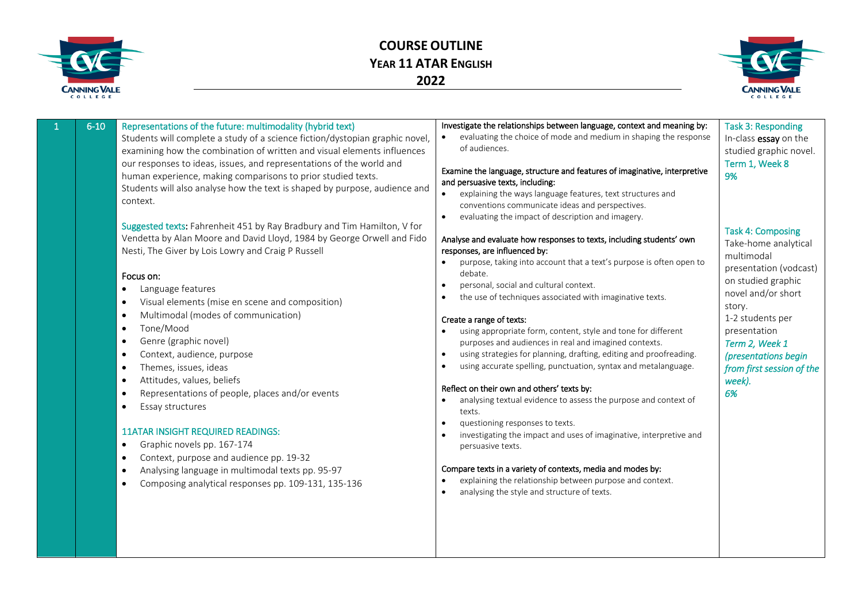



|  | $6 - 10$ | Representations of the future: multimodality (hybrid text)<br>Students will complete a study of a science fiction/dystopian graphic novel,<br>examining how the combination of written and visual elements influences<br>our responses to ideas, issues, and representations of the world and<br>human experience, making comparisons to prior studied texts.<br>Students will also analyse how the text is shaped by purpose, audience and<br>context.<br>Suggested texts: Fahrenheit 451 by Ray Bradbury and Tim Hamilton, V for<br>Vendetta by Alan Moore and David Lloyd, 1984 by George Orwell and Fido<br>Nesti, The Giver by Lois Lowry and Craig P Russell<br>Focus on:<br>Language features<br>Visual elements (mise en scene and composition)<br>Multimodal (modes of communication)<br>Tone/Mood<br>Genre (graphic novel)<br>Context, audience, purpose<br>Themes, issues, ideas<br>Attitudes, values, beliefs<br>Representations of people, places and/or events<br>Essay structures<br><b>11ATAR INSIGHT REQUIRED READINGS:</b><br>Graphic novels pp. 167-174<br>Context, purpose and audience pp. 19-32<br>Analysing language in multimodal texts pp. 95-97<br>Composing analytical responses pp. 109-131, 135-136 | Investigate the relationships between language, context and meaning by:<br>evaluating the choice of mode and medium in shaping the response<br>of audiences.<br>Examine the language, structure and features of imaginative, interpretive<br>and persuasive texts, including:<br>explaining the ways language features, text structures and<br>conventions communicate ideas and perspectives.<br>evaluating the impact of description and imagery.<br>$\bullet$<br>Analyse and evaluate how responses to texts, including students' own<br>responses, are influenced by:<br>purpose, taking into account that a text's purpose is often open to<br>debate.<br>personal, social and cultural context.<br>$\bullet$<br>the use of techniques associated with imaginative texts.<br>$\bullet$<br>Create a range of texts:<br>using appropriate form, content, style and tone for different<br>purposes and audiences in real and imagined contexts.<br>using strategies for planning, drafting, editing and proofreading.<br>$\bullet$<br>using accurate spelling, punctuation, syntax and metalanguage.<br>$\bullet$<br>Reflect on their own and others' texts by:<br>analysing textual evidence to assess the purpose and context of<br>$\bullet$<br>texts.<br>questioning responses to texts.<br>$\bullet$<br>investigating the impact and uses of imaginative, interpretive and<br>persuasive texts.<br>Compare texts in a variety of contexts, media and modes by:<br>explaining the relationship between purpose and context.<br>analysing the style and structure of texts. | <b>Task 3: Responding</b><br>In-class essay on the<br>studied graphic novel.<br>Term 1, Week 8<br>9%<br><b>Task 4: Composing</b><br>Take-home analytical<br>multimodal<br>presentation (vodcast)<br>on studied graphic<br>novel and/or short<br>story.<br>1-2 students per<br>presentation<br>Term 2, Week 1<br>(presentations begin<br>from first session of the<br>week).<br>6% |
|--|----------|----------------------------------------------------------------------------------------------------------------------------------------------------------------------------------------------------------------------------------------------------------------------------------------------------------------------------------------------------------------------------------------------------------------------------------------------------------------------------------------------------------------------------------------------------------------------------------------------------------------------------------------------------------------------------------------------------------------------------------------------------------------------------------------------------------------------------------------------------------------------------------------------------------------------------------------------------------------------------------------------------------------------------------------------------------------------------------------------------------------------------------------------------------------------------------------------------------------------------------|----------------------------------------------------------------------------------------------------------------------------------------------------------------------------------------------------------------------------------------------------------------------------------------------------------------------------------------------------------------------------------------------------------------------------------------------------------------------------------------------------------------------------------------------------------------------------------------------------------------------------------------------------------------------------------------------------------------------------------------------------------------------------------------------------------------------------------------------------------------------------------------------------------------------------------------------------------------------------------------------------------------------------------------------------------------------------------------------------------------------------------------------------------------------------------------------------------------------------------------------------------------------------------------------------------------------------------------------------------------------------------------------------------------------------------------------------------------------------------------------------------------------------------------------------------------------------------|-----------------------------------------------------------------------------------------------------------------------------------------------------------------------------------------------------------------------------------------------------------------------------------------------------------------------------------------------------------------------------------|
|--|----------|----------------------------------------------------------------------------------------------------------------------------------------------------------------------------------------------------------------------------------------------------------------------------------------------------------------------------------------------------------------------------------------------------------------------------------------------------------------------------------------------------------------------------------------------------------------------------------------------------------------------------------------------------------------------------------------------------------------------------------------------------------------------------------------------------------------------------------------------------------------------------------------------------------------------------------------------------------------------------------------------------------------------------------------------------------------------------------------------------------------------------------------------------------------------------------------------------------------------------------|----------------------------------------------------------------------------------------------------------------------------------------------------------------------------------------------------------------------------------------------------------------------------------------------------------------------------------------------------------------------------------------------------------------------------------------------------------------------------------------------------------------------------------------------------------------------------------------------------------------------------------------------------------------------------------------------------------------------------------------------------------------------------------------------------------------------------------------------------------------------------------------------------------------------------------------------------------------------------------------------------------------------------------------------------------------------------------------------------------------------------------------------------------------------------------------------------------------------------------------------------------------------------------------------------------------------------------------------------------------------------------------------------------------------------------------------------------------------------------------------------------------------------------------------------------------------------------|-----------------------------------------------------------------------------------------------------------------------------------------------------------------------------------------------------------------------------------------------------------------------------------------------------------------------------------------------------------------------------------|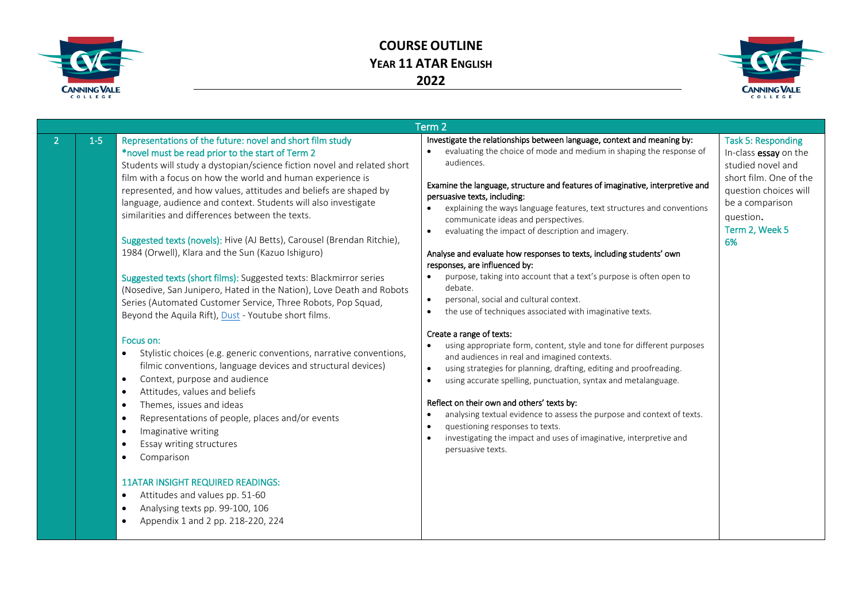



| Term <sub>2</sub> |                                                                                                                                                                                                                                                                                                                                                                                                                                                                                                                                                                                                                                                                                                                                                                                                                                                                                                                                                                                                                                                                                                                                                                                                                                                                                                                                                                                                                                                                                                                    |                                                                                                                                                                                                                                                                                                                                                                                                                                                                                                                                                                                                                                                                                                                                                                                                                                                                                                                                                                                                                                                                                                                                                                                                                                                                                                                                                                                                                  |                                                                                                                                                                                    |  |
|-------------------|--------------------------------------------------------------------------------------------------------------------------------------------------------------------------------------------------------------------------------------------------------------------------------------------------------------------------------------------------------------------------------------------------------------------------------------------------------------------------------------------------------------------------------------------------------------------------------------------------------------------------------------------------------------------------------------------------------------------------------------------------------------------------------------------------------------------------------------------------------------------------------------------------------------------------------------------------------------------------------------------------------------------------------------------------------------------------------------------------------------------------------------------------------------------------------------------------------------------------------------------------------------------------------------------------------------------------------------------------------------------------------------------------------------------------------------------------------------------------------------------------------------------|------------------------------------------------------------------------------------------------------------------------------------------------------------------------------------------------------------------------------------------------------------------------------------------------------------------------------------------------------------------------------------------------------------------------------------------------------------------------------------------------------------------------------------------------------------------------------------------------------------------------------------------------------------------------------------------------------------------------------------------------------------------------------------------------------------------------------------------------------------------------------------------------------------------------------------------------------------------------------------------------------------------------------------------------------------------------------------------------------------------------------------------------------------------------------------------------------------------------------------------------------------------------------------------------------------------------------------------------------------------------------------------------------------------|------------------------------------------------------------------------------------------------------------------------------------------------------------------------------------|--|
| $1 - 5$           | Representations of the future: novel and short film study<br>*novel must be read prior to the start of Term 2<br>Students will study a dystopian/science fiction novel and related short<br>film with a focus on how the world and human experience is<br>represented, and how values, attitudes and beliefs are shaped by<br>language, audience and context. Students will also investigate<br>similarities and differences between the texts.<br>Suggested texts (novels): Hive (AJ Betts), Carousel (Brendan Ritchie),<br>1984 (Orwell), Klara and the Sun (Kazuo Ishiguro)<br>Suggested texts (short films): Suggested texts: Blackmirror series<br>(Nosedive, San Junipero, Hated in the Nation), Love Death and Robots<br>Series (Automated Customer Service, Three Robots, Pop Squad,<br>Beyond the Aquila Rift), Dust - Youtube short films.<br>Focus on:<br>Stylistic choices (e.g. generic conventions, narrative conventions,<br>$\bullet$<br>filmic conventions, language devices and structural devices)<br>Context, purpose and audience<br>$\bullet$<br>Attitudes, values and beliefs<br>$\bullet$<br>Themes, issues and ideas<br>$\bullet$<br>Representations of people, places and/or events<br>$\bullet$<br>Imaginative writing<br>$\bullet$<br>Essay writing structures<br>$\bullet$<br>Comparison<br><b>11ATAR INSIGHT REQUIRED READINGS:</b><br>Attitudes and values pp. 51-60<br>$\bullet$<br>Analysing texts pp. 99-100, 106<br>$\bullet$<br>Appendix 1 and 2 pp. 218-220, 224<br>$\bullet$ | Investigate the relationships between language, context and meaning by:<br>evaluating the choice of mode and medium in shaping the response of<br>audiences.<br>Examine the language, structure and features of imaginative, interpretive and<br>persuasive texts, including:<br>explaining the ways language features, text structures and conventions<br>communicate ideas and perspectives.<br>evaluating the impact of description and imagery.<br>Analyse and evaluate how responses to texts, including students' own<br>responses, are influenced by:<br>purpose, taking into account that a text's purpose is often open to<br>debate.<br>personal, social and cultural context.<br>$\bullet$<br>the use of techniques associated with imaginative texts.<br>$\bullet$<br>Create a range of texts:<br>using appropriate form, content, style and tone for different purposes<br>$\bullet$<br>and audiences in real and imagined contexts.<br>using strategies for planning, drafting, editing and proofreading.<br>$\bullet$<br>using accurate spelling, punctuation, syntax and metalanguage.<br>$\bullet$<br>Reflect on their own and others' texts by:<br>analysing textual evidence to assess the purpose and context of texts.<br>$\bullet$<br>questioning responses to texts.<br>$\bullet$<br>investigating the impact and uses of imaginative, interpretive and<br>$\bullet$<br>persuasive texts. | <b>Task 5: Responding</b><br>In-class essay on the<br>studied novel and<br>short film. One of the<br>question choices will<br>be a comparison<br>question.<br>Term 2, Week 5<br>6% |  |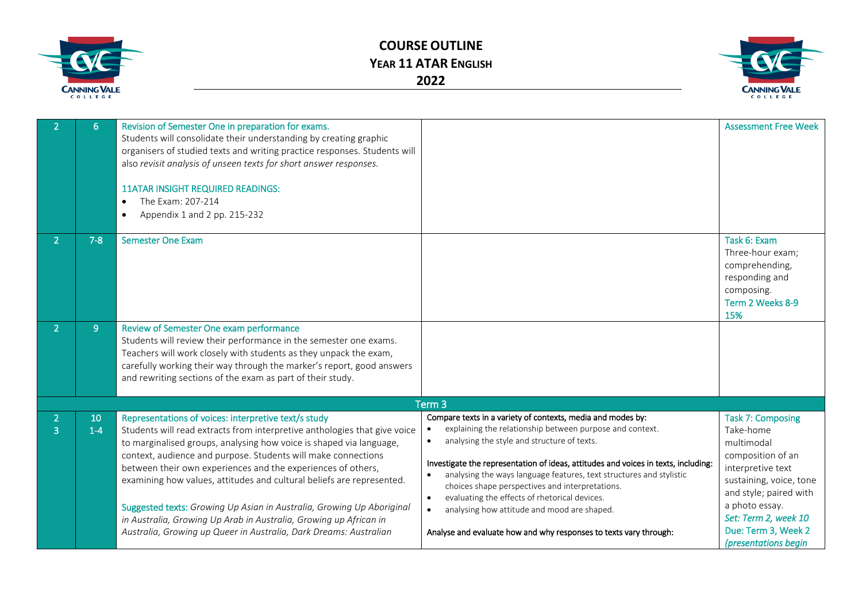

**COURSE OUTLINE YEAR 11 ATAR ENGLISH 2022**



| 6           | Revision of Semester One in preparation for exams.<br>Students will consolidate their understanding by creating graphic<br>organisers of studied texts and writing practice responses. Students will<br>also revisit analysis of unseen texts for short answer responses.<br><b>11ATAR INSIGHT REQUIRED READINGS:</b><br>The Exam: 207-214<br>$\bullet$<br>Appendix 1 and 2 pp. 215-232                                                                                                                                                                                                                                               |                                                                                                                                                                                                                                                                                                                                                                                                                                                                                                                                                                          | <b>Assessment Free Week</b>                                                                                                                                                                                                                 |
|-------------|---------------------------------------------------------------------------------------------------------------------------------------------------------------------------------------------------------------------------------------------------------------------------------------------------------------------------------------------------------------------------------------------------------------------------------------------------------------------------------------------------------------------------------------------------------------------------------------------------------------------------------------|--------------------------------------------------------------------------------------------------------------------------------------------------------------------------------------------------------------------------------------------------------------------------------------------------------------------------------------------------------------------------------------------------------------------------------------------------------------------------------------------------------------------------------------------------------------------------|---------------------------------------------------------------------------------------------------------------------------------------------------------------------------------------------------------------------------------------------|
| $7 - 8$     | <b>Semester One Exam</b>                                                                                                                                                                                                                                                                                                                                                                                                                                                                                                                                                                                                              |                                                                                                                                                                                                                                                                                                                                                                                                                                                                                                                                                                          | Task 6: Exam<br>Three-hour exam;<br>comprehending,<br>responding and<br>composing.<br>Term 2 Weeks 8-9<br>15%                                                                                                                               |
| 9           | Review of Semester One exam performance<br>Students will review their performance in the semester one exams.<br>Teachers will work closely with students as they unpack the exam,<br>carefully working their way through the marker's report, good answers<br>and rewriting sections of the exam as part of their study.                                                                                                                                                                                                                                                                                                              |                                                                                                                                                                                                                                                                                                                                                                                                                                                                                                                                                                          |                                                                                                                                                                                                                                             |
|             |                                                                                                                                                                                                                                                                                                                                                                                                                                                                                                                                                                                                                                       | Term <sub>3</sub>                                                                                                                                                                                                                                                                                                                                                                                                                                                                                                                                                        |                                                                                                                                                                                                                                             |
| 10<br>$1-4$ | Representations of voices: interpretive text/s study<br>Students will read extracts from interpretive anthologies that give voice<br>to marginalised groups, analysing how voice is shaped via language,<br>context, audience and purpose. Students will make connections<br>between their own experiences and the experiences of others,<br>examining how values, attitudes and cultural beliefs are represented.<br>Suggested texts: Growing Up Asian in Australia, Growing Up Aboriginal<br>in Australia, Growing Up Arab in Australia, Growing up African in<br>Australia, Growing up Queer in Australia, Dark Dreams: Australian | Compare texts in a variety of contexts, media and modes by:<br>explaining the relationship between purpose and context.<br>analysing the style and structure of texts.<br>Investigate the representation of ideas, attitudes and voices in texts, including:<br>analysing the ways language features, text structures and stylistic<br>choices shape perspectives and interpretations.<br>evaluating the effects of rhetorical devices.<br>$\bullet$<br>analysing how attitude and mood are shaped.<br>Analyse and evaluate how and why responses to texts vary through: | <b>Task 7: Composing</b><br>Take-home<br>multimodal<br>composition of an<br>interpretive text<br>sustaining, voice, tone<br>and style; paired with<br>a photo essay.<br>Set: Term 2, week 10<br>Due: Term 3, Week 2<br>(presentations begin |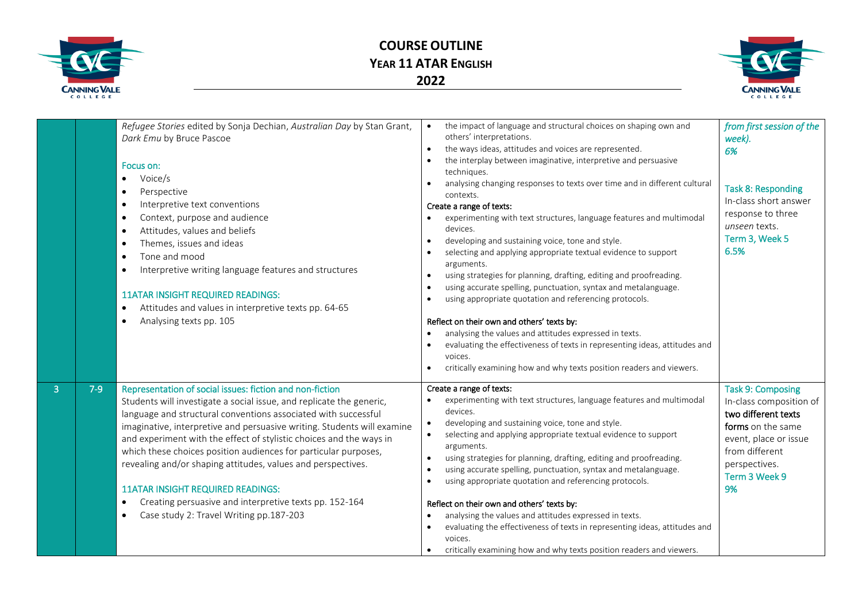

## **COURSE OUTLINE YEAR 11 ATAR ENGLISH 2022**



|                |       | Refugee Stories edited by Sonja Dechian, Australian Day by Stan Grant,<br>Dark Emu by Bruce Pascoe<br>Focus on:<br>Voice/s<br>$\bullet$<br>Perspective<br>Interpretive text conventions<br>$\bullet$<br>Context, purpose and audience<br>$\bullet$<br>Attitudes, values and beliefs<br>$\bullet$<br>Themes, issues and ideas<br>Tone and mood<br>Interpretive writing language features and structures<br>$\bullet$<br><b>11ATAR INSIGHT REQUIRED READINGS:</b><br>Attitudes and values in interpretive texts pp. 64-65<br>Analysing texts pp. 105<br>$\bullet$                                                                                                    | the impact of language and structural choices on shaping own and<br>others' interpretations.<br>the ways ideas, attitudes and voices are represented.<br>the interplay between imaginative, interpretive and persuasive<br>techniques.<br>analysing changing responses to texts over time and in different cultural<br>contexts.<br>Create a range of texts:<br>experimenting with text structures, language features and multimodal<br>devices.<br>developing and sustaining voice, tone and style.<br>selecting and applying appropriate textual evidence to support<br>arguments.<br>using strategies for planning, drafting, editing and proofreading.<br>using accurate spelling, punctuation, syntax and metalanguage.<br>using appropriate quotation and referencing protocols.<br>Reflect on their own and others' texts by:<br>analysing the values and attitudes expressed in texts.<br>evaluating the effectiveness of texts in representing ideas, attitudes and<br>voices.<br>critically examining how and why texts position readers and viewers. | from first session of the<br>week).<br>6%<br><b>Task 8: Responding</b><br>In-class short answer<br>response to three<br>unseen texts.<br>Term 3, Week 5<br>6.5%                    |
|----------------|-------|--------------------------------------------------------------------------------------------------------------------------------------------------------------------------------------------------------------------------------------------------------------------------------------------------------------------------------------------------------------------------------------------------------------------------------------------------------------------------------------------------------------------------------------------------------------------------------------------------------------------------------------------------------------------|-----------------------------------------------------------------------------------------------------------------------------------------------------------------------------------------------------------------------------------------------------------------------------------------------------------------------------------------------------------------------------------------------------------------------------------------------------------------------------------------------------------------------------------------------------------------------------------------------------------------------------------------------------------------------------------------------------------------------------------------------------------------------------------------------------------------------------------------------------------------------------------------------------------------------------------------------------------------------------------------------------------------------------------------------------------------|------------------------------------------------------------------------------------------------------------------------------------------------------------------------------------|
| $\overline{3}$ | $7-9$ | Representation of social issues: fiction and non-fiction<br>Students will investigate a social issue, and replicate the generic,<br>language and structural conventions associated with successful<br>imaginative, interpretive and persuasive writing. Students will examine<br>and experiment with the effect of stylistic choices and the ways in<br>which these choices position audiences for particular purposes,<br>revealing and/or shaping attitudes, values and perspectives.<br><b>11ATAR INSIGHT REQUIRED READINGS:</b><br>Creating persuasive and interpretive texts pp. 152-164<br>$\bullet$<br>Case study 2: Travel Writing pp.187-203<br>$\bullet$ | Create a range of texts:<br>experimenting with text structures, language features and multimodal<br>devices.<br>developing and sustaining voice, tone and style.<br>selecting and applying appropriate textual evidence to support<br>arguments.<br>using strategies for planning, drafting, editing and proofreading.<br>using accurate spelling, punctuation, syntax and metalanguage.<br>using appropriate quotation and referencing protocols.<br>Reflect on their own and others' texts by:<br>analysing the values and attitudes expressed in texts.<br>evaluating the effectiveness of texts in representing ideas, attitudes and<br>voices.<br>critically examining how and why texts position readers and viewers.                                                                                                                                                                                                                                                                                                                                     | <b>Task 9: Composing</b><br>In-class composition of<br>two different texts<br>forms on the same<br>event, place or issue<br>from different<br>perspectives.<br>Term 3 Week 9<br>9% |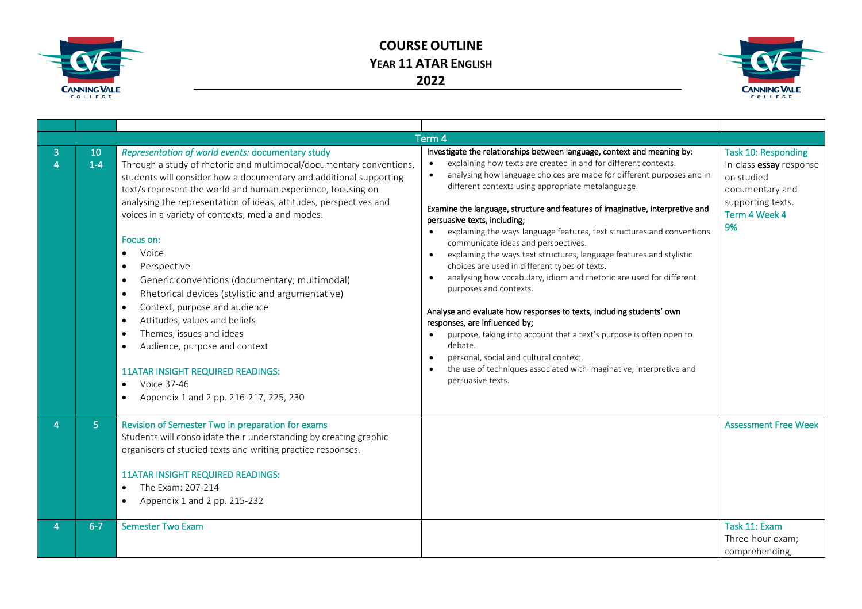



|   |               |                                                                                                                                                                                                                                                                                                                                                                                                                                                                                                                                                                                                                                                                                                                                                                                                                                                                                              | Term <sub>4</sub>                                                                                                                                                                                                                                                                                                                                                                                                                                                                                                                                                                                                                                                                                                                                                                                                                                                                                                                                                                                                                                                                                             |                                                                                                                             |
|---|---------------|----------------------------------------------------------------------------------------------------------------------------------------------------------------------------------------------------------------------------------------------------------------------------------------------------------------------------------------------------------------------------------------------------------------------------------------------------------------------------------------------------------------------------------------------------------------------------------------------------------------------------------------------------------------------------------------------------------------------------------------------------------------------------------------------------------------------------------------------------------------------------------------------|---------------------------------------------------------------------------------------------------------------------------------------------------------------------------------------------------------------------------------------------------------------------------------------------------------------------------------------------------------------------------------------------------------------------------------------------------------------------------------------------------------------------------------------------------------------------------------------------------------------------------------------------------------------------------------------------------------------------------------------------------------------------------------------------------------------------------------------------------------------------------------------------------------------------------------------------------------------------------------------------------------------------------------------------------------------------------------------------------------------|-----------------------------------------------------------------------------------------------------------------------------|
| 3 | 10<br>$1 - 4$ | Representation of world events: documentary study<br>Through a study of rhetoric and multimodal/documentary conventions,<br>students will consider how a documentary and additional supporting<br>text/s represent the world and human experience, focusing on<br>analysing the representation of ideas, attitudes, perspectives and<br>voices in a variety of contexts, media and modes.<br>Focus on:<br>Voice<br>$\bullet$<br>Perspective<br>Generic conventions (documentary; multimodal)<br>$\bullet$<br>Rhetorical devices (stylistic and argumentative)<br>$\bullet$<br>Context, purpose and audience<br>$\bullet$<br>Attitudes, values and beliefs<br>$\bullet$<br>Themes, issues and ideas<br>$\bullet$<br>Audience, purpose and context<br>$\bullet$<br><b>11ATAR INSIGHT REQUIRED READINGS:</b><br>Voice 37-46<br>$\bullet$<br>Appendix 1 and 2 pp. 216-217, 225, 230<br>$\bullet$ | Investigate the relationships between language, context and meaning by:<br>explaining how texts are created in and for different contexts.<br>analysing how language choices are made for different purposes and in<br>different contexts using appropriate metalanguage.<br>Examine the language, structure and features of imaginative, interpretive and<br>persuasive texts, including;<br>explaining the ways language features, text structures and conventions<br>communicate ideas and perspectives.<br>explaining the ways text structures, language features and stylistic<br>$\bullet$<br>choices are used in different types of texts.<br>analysing how vocabulary, idiom and rhetoric are used for different<br>$\bullet$<br>purposes and contexts.<br>Analyse and evaluate how responses to texts, including students' own<br>responses, are influenced by;<br>purpose, taking into account that a text's purpose is often open to<br>debate.<br>personal, social and cultural context.<br>$\bullet$<br>the use of techniques associated with imaginative, interpretive and<br>persuasive texts. | Task 10: Responding<br>In-class essay response<br>on studied<br>documentary and<br>supporting texts.<br>Term 4 Week 4<br>9% |
|   | 5.            | Revision of Semester Two in preparation for exams<br>Students will consolidate their understanding by creating graphic<br>organisers of studied texts and writing practice responses.<br><b>11ATAR INSIGHT REQUIRED READINGS:</b><br>The Exam: 207-214<br>$\bullet$<br>Appendix 1 and 2 pp. 215-232<br>$\bullet$                                                                                                                                                                                                                                                                                                                                                                                                                                                                                                                                                                             |                                                                                                                                                                                                                                                                                                                                                                                                                                                                                                                                                                                                                                                                                                                                                                                                                                                                                                                                                                                                                                                                                                               | <b>Assessment Free Week</b>                                                                                                 |
|   | $6 - 7$       | <b>Semester Two Exam</b>                                                                                                                                                                                                                                                                                                                                                                                                                                                                                                                                                                                                                                                                                                                                                                                                                                                                     |                                                                                                                                                                                                                                                                                                                                                                                                                                                                                                                                                                                                                                                                                                                                                                                                                                                                                                                                                                                                                                                                                                               | Task 11: Exam<br>Three-hour exam;<br>comprehending,                                                                         |